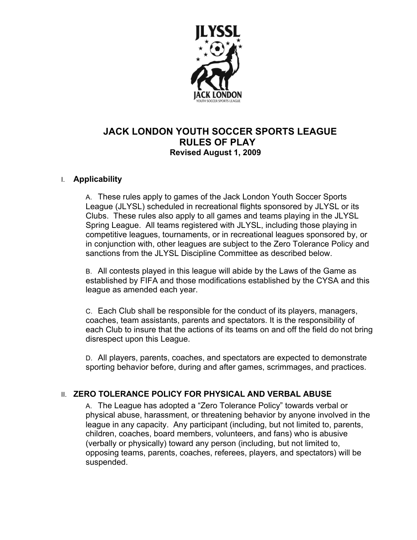

# **JACK LONDON YOUTH SOCCER SPORTS LEAGUE RULES OF PLAY Revised August 1, 2009**

## I. **Applicability**

A. These rules apply to games of the Jack London Youth Soccer Sports League (JLYSL) scheduled in recreational flights sponsored by JLYSL or its Clubs. These rules also apply to all games and teams playing in the JLYSL Spring League. All teams registered with JLYSL, including those playing in competitive leagues, tournaments, or in recreational leagues sponsored by, or in conjunction with, other leagues are subject to the Zero Tolerance Policy and sanctions from the JLYSL Discipline Committee as described below.

B. All contests played in this league will abide by the Laws of the Game as established by FIFA and those modifications established by the CYSA and this league as amended each year.

C. Each Club shall be responsible for the conduct of its players, managers, coaches, team assistants, parents and spectators. It is the responsibility of each Club to insure that the actions of its teams on and off the field do not bring disrespect upon this League.

D. All players, parents, coaches, and spectators are expected to demonstrate sporting behavior before, during and after games, scrimmages, and practices.

## II. **ZERO TOLERANCE POLICY FOR PHYSICAL AND VERBAL ABUSE**

A. The League has adopted a "Zero Tolerance Policy" towards verbal or physical abuse, harassment, or threatening behavior by anyone involved in the league in any capacity. Any participant (including, but not limited to, parents, children, coaches, board members, volunteers, and fans) who is abusive (verbally or physically) toward any person (including, but not limited to, opposing teams, parents, coaches, referees, players, and spectators) will be suspended.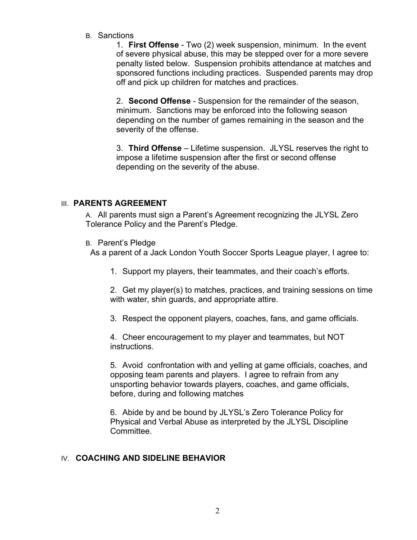B. Sanctions

1. **First Offense** - Two (2) week suspension, minimum. In the event of severe physical abuse, this may be stepped over for a more severe penalty listed below. Suspension prohibits attendance at matches and sponsored functions including practices. Suspended parents may drop off and pick up children for matches and practices.

2. **Second Offense** - Suspension for the remainder of the season, minimum. Sanctions may be enforced into the following season depending on the number of games remaining in the season and the severity of the offense.

3. **Third Offense** – Lifetime suspension. JLYSL reserves the right to impose a lifetime suspension after the first or second offense depending on the severity of the abuse.

## **III. PARENTS AGREEMENT**

A. All parents must sign a Parent's Agreement recognizing the JLYSL Zero Tolerance Policy and the Parent's Pledge.

B. Parent's Pledge

As a parent of a Jack London Youth Soccer Sports League player, I agree to:

1. Support my players, their teammates, and their coach's efforts.

2. Get my player(s) to matches, practices, and training sessions on time with water, shin guards, and appropriate attire.

3. Respect the opponent players, coaches, fans, and game officials.

4. Cheer encouragement to my player and teammates, but NOT instructions.

5. Avoid confrontation with and yelling at game officials, coaches, and opposing team parents and players. I agree to refrain from any unsporting behavior towards players, coaches, and game officials, before, during and following matches

6. Abide by and be bound by JLYSL's Zero Tolerance Policy for Physical and Verbal Abuse as interpreted by the JLYSL Discipline Committee.

#### IV. **COACHING AND SIDELINE BEHAVIOR**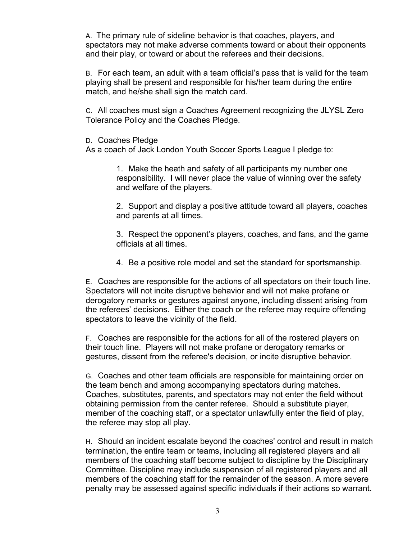A. The primary rule of sideline behavior is that coaches, players, and spectators may not make adverse comments toward or about their opponents and their play, or toward or about the referees and their decisions.

B. For each team, an adult with a team official's pass that is valid for the team playing shall be present and responsible for his/her team during the entire match, and he/she shall sign the match card.

C. All coaches must sign a Coaches Agreement recognizing the JLYSL Zero Tolerance Policy and the Coaches Pledge.

D. Coaches Pledge

As a coach of Jack London Youth Soccer Sports League I pledge to:

1. Make the heath and safety of all participants my number one responsibility. I will never place the value of winning over the safety and welfare of the players.

2. Support and display a positive attitude toward all players, coaches and parents at all times.

3. Respect the opponent's players, coaches, and fans, and the game officials at all times.

4. Be a positive role model and set the standard for sportsmanship.

E. Coaches are responsible for the actions of all spectators on their touch line. Spectators will not incite disruptive behavior and will not make profane or derogatory remarks or gestures against anyone, including dissent arising from the referees' decisions. Either the coach or the referee may require offending spectators to leave the vicinity of the field.

F. Coaches are responsible for the actions for all of the rostered players on their touch line. Players will not make profane or derogatory remarks or gestures, dissent from the referee's decision, or incite disruptive behavior.

G. Coaches and other team officials are responsible for maintaining order on the team bench and among accompanying spectators during matches. Coaches, substitutes, parents, and spectators may not enter the field without obtaining permission from the center referee. Should a substitute player, member of the coaching staff, or a spectator unlawfully enter the field of play, the referee may stop all play.

H. Should an incident escalate beyond the coaches' control and result in match termination, the entire team or teams, including all registered players and all members of the coaching staff become subject to discipline by the Disciplinary Committee. Discipline may include suspension of all registered players and all members of the coaching staff for the remainder of the season. A more severe penalty may be assessed against specific individuals if their actions so warrant.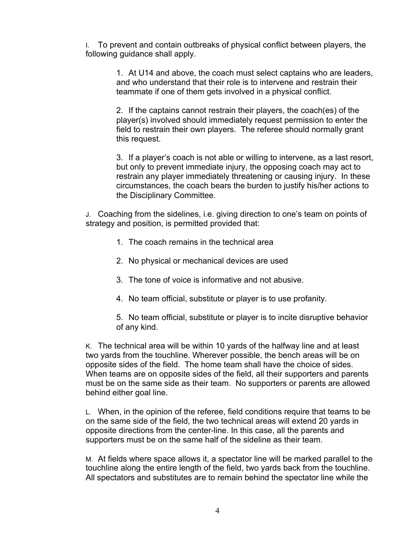I. To prevent and contain outbreaks of physical conflict between players, the following guidance shall apply.

> 1. At U14 and above, the coach must select captains who are leaders, and who understand that their role is to intervene and restrain their teammate if one of them gets involved in a physical conflict.

2. If the captains cannot restrain their players, the coach(es) of the player(s) involved should immediately request permission to enter the field to restrain their own players. The referee should normally grant this request.

3. If a player's coach is not able or willing to intervene, as a last resort, but only to prevent immediate injury, the opposing coach may act to restrain any player immediately threatening or causing injury. In these circumstances, the coach bears the burden to justify his/her actions to the Disciplinary Committee.

J. Coaching from the sidelines, i.e. giving direction to one's team on points of strategy and position, is permitted provided that:

- 1. The coach remains in the technical area
- 2. No physical or mechanical devices are used
- 3. The tone of voice is informative and not abusive.
- 4. No team official, substitute or player is to use profanity.

5. No team official, substitute or player is to incite disruptive behavior of any kind.

K. The technical area will be within 10 yards of the halfway line and at least two yards from the touchline. Wherever possible, the bench areas will be on opposite sides of the field.The home team shall have the choice of sides. When teams are on opposite sides of the field, all their supporters and parents must be on the same side as their team. No supporters or parents are allowed behind either goal line.

L. When, in the opinion of the referee, field conditions require that teams to be on the same side of the field, the two technical areas will extend 20 yards in opposite directions from the center-line. In this case, all the parents and supporters must be on the same half of the sideline as their team.

M. At fields where space allows it, a spectator line will be marked parallel to the touchline along the entire length of the field, two yards back from the touchline. All spectators and substitutes are to remain behind the spectator line while the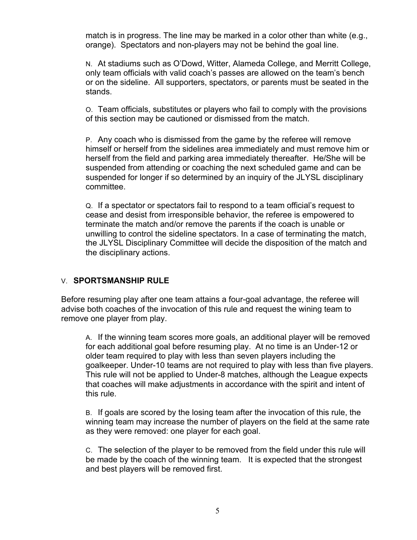match is in progress. The line may be marked in a color other than white (e.g., orange). Spectators and non-players may not be behind the goal line.

N. At stadiums such as O'Dowd, Witter, Alameda College, and Merritt College, only team officials with valid coach's passes are allowed on the team's bench or on the sideline. All supporters, spectators, or parents must be seated in the stands.

O. Team officials, substitutes or players who fail to comply with the provisions of this section may be cautioned or dismissed from the match.

P. Any coach who is dismissed from the game by the referee will remove himself or herself from the sidelines area immediately and must remove him or herself from the field and parking area immediately thereafter. He/She will be suspended from attending or coaching the next scheduled game and can be suspended for longer if so determined by an inquiry of the JLYSL disciplinary committee.

Q. If a spectator or spectators fail to respond to a team official's request to cease and desist from irresponsible behavior, the referee is empowered to terminate the match and/or remove the parents if the coach is unable or unwilling to control the sideline spectators. In a case of terminating the match, the JLYSL Disciplinary Committee will decide the disposition of the match and the disciplinary actions.

#### V. **SPORTSMANSHIP RULE**

Before resuming play after one team attains a four-goal advantage, the referee will advise both coaches of the invocation of this rule and request the wining team to remove one player from play.

A. If the winning team scores more goals, an additional player will be removed for each additional goal before resuming play. At no time is an Under-12 or older team required to play with less than seven players including the goalkeeper. Under-10 teams are not required to play with less than five players. This rule will not be applied to Under-8 matches, although the League expects that coaches will make adjustments in accordance with the spirit and intent of this rule.

B. If goals are scored by the losing team after the invocation of this rule, the winning team may increase the number of players on the field at the same rate as they were removed: one player for each goal.

C. The selection of the player to be removed from the field under this rule will be made by the coach of the winning team. It is expected that the strongest and best players will be removed first.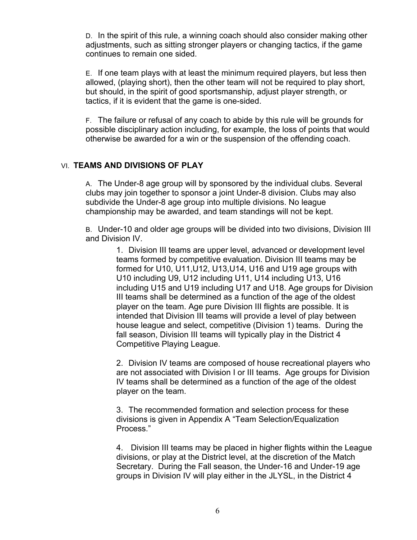D. In the spirit of this rule, a winning coach should also consider making other adjustments, such as sitting stronger players or changing tactics, if the game continues to remain one sided.

E. If one team plays with at least the minimum required players, but less then allowed, (playing short), then the other team will not be required to play short, but should, in the spirit of good sportsmanship, adjust player strength, or tactics, if it is evident that the game is one-sided.

F. The failure or refusal of any coach to abide by this rule will be grounds for possible disciplinary action including, for example, the loss of points that would otherwise be awarded for a win or the suspension of the offending coach.

#### VI. **TEAMS AND DIVISIONS OF PLAY**

A. The Under-8 age group will by sponsored by the individual clubs. Several clubs may join together to sponsor a joint Under-8 division. Clubs may also subdivide the Under-8 age group into multiple divisions. No league championship may be awarded, and team standings will not be kept.

B. Under-10 and older age groups will be divided into two divisions, Division III and Division IV.

> 1. Division III teams are upper level, advanced or development level teams formed by competitive evaluation. Division III teams may be formed for U10, U11,U12, U13,U14, U16 and U19 age groups with U10 including U9, U12 including U11, U14 including U13, U16 including U15 and U19 including U17 and U18. Age groups for Division III teams shall be determined as a function of the age of the oldest player on the team. Age pure Division III flights are possible. It is intended that Division III teams will provide a level of play between house league and select, competitive (Division 1) teams. During the fall season, Division III teams will typically play in the District 4 Competitive Playing League.

> 2. Division IV teams are composed of house recreational players who are not associated with Division I or III teams. Age groups for Division IV teams shall be determined as a function of the age of the oldest player on the team.

3. The recommended formation and selection process for these divisions is given in Appendix A "Team Selection/Equalization Process."

4. Division III teams may be placed in higher flights within the League divisions, or play at the District level, at the discretion of the Match Secretary. During the Fall season, the Under-16 and Under-19 age groups in Division IV will play either in the JLYSL, in the District 4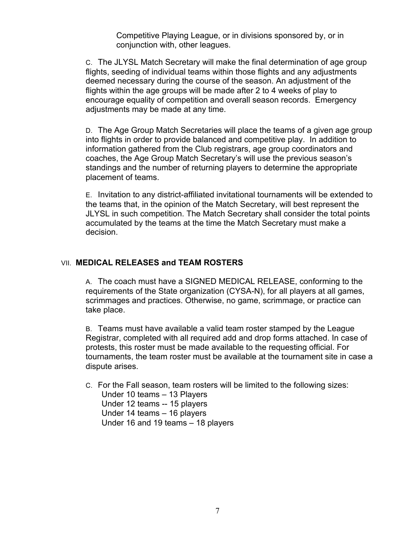Competitive Playing League, or in divisions sponsored by, or in conjunction with, other leagues.

C. The JLYSL Match Secretary will make the final determination of age group flights, seeding of individual teams within those flights and any adjustments deemed necessary during the course of the season. An adjustment of the flights within the age groups will be made after 2 to 4 weeks of play to encourage equality of competition and overall season records. Emergency adjustments may be made at any time.

D. The Age Group Match Secretaries will place the teams of a given age group into flights in order to provide balanced and competitive play. In addition to information gathered from the Club registrars, age group coordinators and coaches, the Age Group Match Secretary's will use the previous season's standings and the number of returning players to determine the appropriate placement of teams.

E. Invitation to any district-affiliated invitational tournaments will be extended to the teams that, in the opinion of the Match Secretary, will best represent the JLYSL in such competition. The Match Secretary shall consider the total points accumulated by the teams at the time the Match Secretary must make a decision.

#### VII. **MEDICAL RELEASES and TEAM ROSTERS**

A. The coach must have a SIGNED MEDICAL RELEASE, conforming to the requirements of the State organization (CYSA-N), for all players at all games, scrimmages and practices. Otherwise, no game, scrimmage, or practice can take place.

B. Teams must have available a valid team roster stamped by the League Registrar, completed with all required add and drop forms attached. In case of protests, this roster must be made available to the requesting official. For tournaments, the team roster must be available at the tournament site in case a dispute arises.

C. For the Fall season, team rosters will be limited to the following sizes: Under 10 teams – 13 Players Under 12 teams -- 15 players Under 14 teams – 16 players Under 16 and 19 teams – 18 players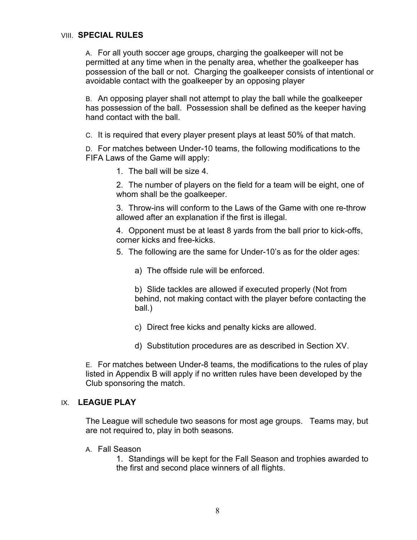#### VIII. **SPECIAL RULES**

A. For all youth soccer age groups, charging the goalkeeper will not be permitted at any time when in the penalty area, whether the goalkeeper has possession of the ball or not. Charging the goalkeeper consists of intentional or avoidable contact with the goalkeeper by an opposing player

B. An opposing player shall not attempt to play the ball while the goalkeeper has possession of the ball. Possession shall be defined as the keeper having hand contact with the ball.

C. It is required that every player present plays at least 50% of that match.

D. For matches between Under-10 teams, the following modifications to the FIFA Laws of the Game will apply:

1. The ball will be size 4.

2. The number of players on the field for a team will be eight, one of whom shall be the goalkeeper.

3. Throw-ins will conform to the Laws of the Game with one re-throw allowed after an explanation if the first is illegal.

4. Opponent must be at least 8 yards from the ball prior to kick-offs, corner kicks and free-kicks.

5. The following are the same for Under-10's as for the older ages:

a) The offside rule will be enforced.

b) Slide tackles are allowed if executed properly (Not from behind, not making contact with the player before contacting the ball.)

- c) Direct free kicks and penalty kicks are allowed.
- d) Substitution procedures are as described in Section XV.

E. For matches between Under-8 teams, the modifications to the rules of play listed in Appendix B will apply if no written rules have been developed by the Club sponsoring the match.

#### IX. **LEAGUE PLAY**

The League will schedule two seasons for most age groups. Teams may, but are not required to, play in both seasons.

A. Fall Season

1. Standings will be kept for the Fall Season and trophies awarded to the first and second place winners of all flights.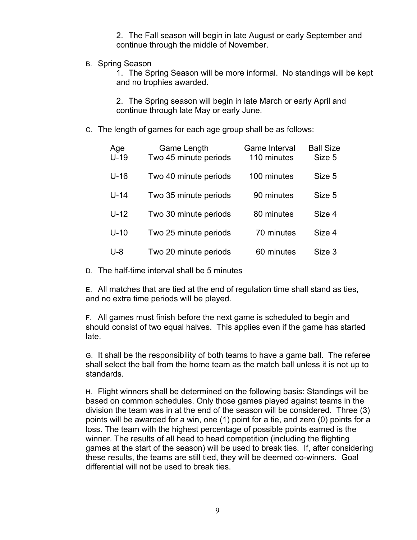2. The Fall season will begin in late August or early September and continue through the middle of November.

B. Spring Season

1. The Spring Season will be more informal. No standings will be kept and no trophies awarded.

2. The Spring season will begin in late March or early April and continue through late May or early June.

C. The length of games for each age group shall be as follows:

| Age<br>$U-19$ | Game Length<br>Two 45 minute periods | Game Interval<br>110 minutes | <b>Ball Size</b><br>Size 5 |
|---------------|--------------------------------------|------------------------------|----------------------------|
| $U-16$        | Two 40 minute periods                | 100 minutes                  | Size 5                     |
| $U-14$        | Two 35 minute periods                | 90 minutes                   | Size 5                     |
| $U-12$        | Two 30 minute periods                | 80 minutes                   | Size 4                     |
| $U-10$        | Two 25 minute periods                | 70 minutes                   | Size 4                     |
| U-8           | Two 20 minute periods                | 60 minutes                   | Size 3                     |

D. The half-time interval shall be 5 minutes

E. All matches that are tied at the end of regulation time shall stand as ties, and no extra time periods will be played.

F. All games must finish before the next game is scheduled to begin and should consist of two equal halves. This applies even if the game has started late.

G. It shall be the responsibility of both teams to have a game ball. The referee shall select the ball from the home team as the match ball unless it is not up to standards.

H. Flight winners shall be determined on the following basis: Standings will be based on common schedules. Only those games played against teams in the division the team was in at the end of the season will be considered. Three (3) points will be awarded for a win, one (1) point for a tie, and zero (0) points for a loss. The team with the highest percentage of possible points earned is the winner. The results of all head to head competition (including the flighting games at the start of the season) will be used to break ties. If, after considering these results, the teams are still tied, they will be deemed co-winners. Goal differential will not be used to break ties.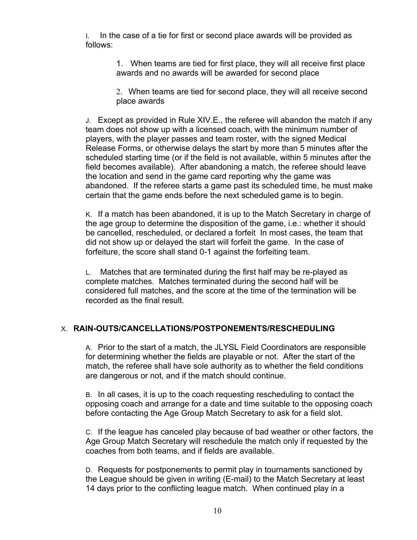I. In the case of a tie for first or second place awards will be provided as follows:

> 1. When teams are tied for first place, they will all receive first place awards and no awards will be awarded for second place

2. When teams are tied for second place, they will all receive second place awards

J. Except as provided in Rule XIV.E., the referee will abandon the match if any team does not show up with a licensed coach, with the minimum number of players, with the player passes and team roster, with the signed Medical Release Forms, or otherwise delays the start by more than 5 minutes after the scheduled starting time (or if the field is not available, within 5 minutes after the field becomes available). After abandoning a match, the referee should leave the location and send in the game card reporting why the game was abandoned. If the referee starts a game past its scheduled time, he must make certain that the game ends before the next scheduled game is to begin.

K. If a match has been abandoned, it is up to the Match Secretary in charge of the age group to determine the disposition of the game, i.e.: whether it should be cancelled, rescheduled, or declared a forfeit In most cases, the team that did not show up or delayed the start will forfeit the game. In the case of forfeiture, the score shall stand 0-1 against the forfeiting team.

L. Matches that are terminated during the first half may be re-played as complete matches. Matches terminated during the second half will be considered full matches, and the score at the time of the termination will be recorded as the final result.

#### X. **RAIN-OUTS/CANCELLATIONS/POSTPONEMENTS/RESCHEDULING**

A. Prior to the start of a match, the JLYSL Field Coordinators are responsible for determining whether the fields are playable or not. After the start of the match, the referee shall have sole authority as to whether the field conditions are dangerous or not, and if the match should continue.

B. In all cases, it is up to the coach requesting rescheduling to contact the opposing coach and arrange for a date and time suitable to the opposing coach before contacting the Age Group Match Secretary to ask for a field slot.

C. If the league has canceled play because of bad weather or other factors, the Age Group Match Secretary will reschedule the match only if requested by the coaches from both teams, and if fields are available.

D. Requests for postponements to permit play in tournaments sanctioned by the League should be given in writing (E-mail) to the Match Secretary at least 14 days prior to the conflicting league match. When continued play in a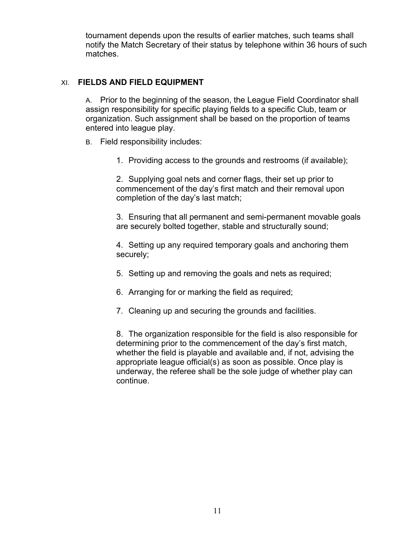tournament depends upon the results of earlier matches, such teams shall notify the Match Secretary of their status by telephone within 36 hours of such matches.

## XI. **FIELDS AND FIELD EQUIPMENT**

A. Prior to the beginning of the season, the League Field Coordinator shall assign responsibility for specific playing fields to a specific Club, team or organization. Such assignment shall be based on the proportion of teams entered into league play.

- B. Field responsibility includes:
	- 1. Providing access to the grounds and restrooms (if available);

2. Supplying goal nets and corner flags, their set up prior to commencement of the day's first match and their removal upon completion of the day's last match;

3. Ensuring that all permanent and semi-permanent movable goals are securely bolted together, stable and structurally sound;

4. Setting up any required temporary goals and anchoring them securely;

- 5. Setting up and removing the goals and nets as required;
- 6. Arranging for or marking the field as required;
- 7. Cleaning up and securing the grounds and facilities.

8. The organization responsible for the field is also responsible for determining prior to the commencement of the day's first match, whether the field is playable and available and, if not, advising the appropriate league official(s) as soon as possible. Once play is underway, the referee shall be the sole judge of whether play can continue.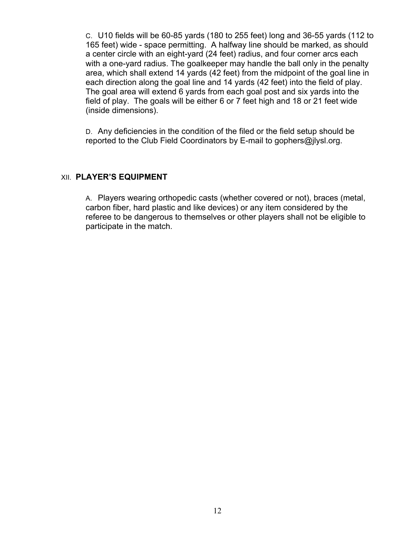C. U10 fields will be 60-85 yards (180 to 255 feet) long and 36-55 yards (112 to 165 feet) wide - space permitting. A halfway line should be marked, as should a center circle with an eight-yard (24 feet) radius, and four corner arcs each with a one-yard radius. The goalkeeper may handle the ball only in the penalty area, which shall extend 14 yards (42 feet) from the midpoint of the goal line in each direction along the goal line and 14 yards (42 feet) into the field of play. The goal area will extend 6 yards from each goal post and six yards into the field of play. The goals will be either 6 or 7 feet high and 18 or 21 feet wide (inside dimensions).

D. Any deficiencies in the condition of the filed or the field setup should be reported to the Club Field Coordinators by E-mail to gophers@jlysl.org.

#### XII. **PLAYER'S EQUIPMENT**

A. Players wearing orthopedic casts (whether covered or not), braces (metal, carbon fiber, hard plastic and like devices) or any item considered by the referee to be dangerous to themselves or other players shall not be eligible to participate in the match.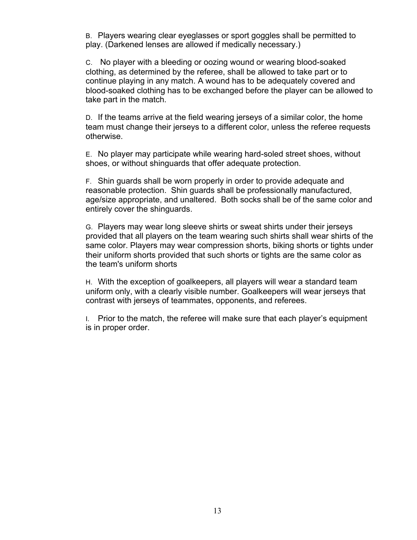B. Players wearing clear eyeglasses or sport goggles shall be permitted to play. (Darkened lenses are allowed if medically necessary.)

C. No player with a bleeding or oozing wound or wearing blood-soaked clothing, as determined by the referee, shall be allowed to take part or to continue playing in any match. A wound has to be adequately covered and blood-soaked clothing has to be exchanged before the player can be allowed to take part in the match.

D. If the teams arrive at the field wearing jerseys of a similar color, the home team must change their jerseys to a different color, unless the referee requests otherwise.

E. No player may participate while wearing hard-soled street shoes, without shoes, or without shinguards that offer adequate protection.

F. Shin guards shall be worn properly in order to provide adequate and reasonable protection. Shin guards shall be professionally manufactured, age/size appropriate, and unaltered. Both socks shall be of the same color and entirely cover the shinguards.

G. Players may wear long sleeve shirts or sweat shirts under their jerseys provided that all players on the team wearing such shirts shall wear shirts of the same color. Players may wear compression shorts, biking shorts or tights under their uniform shorts provided that such shorts or tights are the same color as the team's uniform shorts

H. With the exception of goalkeepers, all players will wear a standard team uniform only, with a clearly visible number. Goalkeepers will wear jerseys that contrast with jerseys of teammates, opponents, and referees.

I. Prior to the match, the referee will make sure that each player's equipment is in proper order.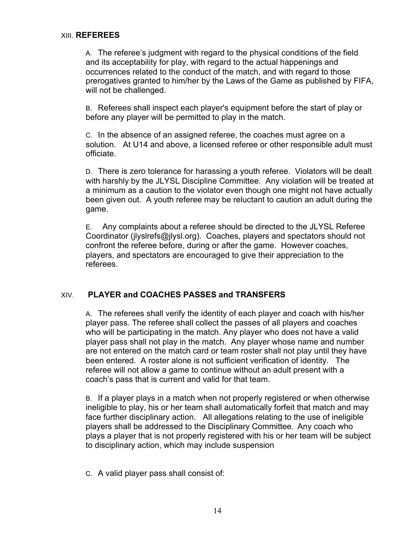A. The referee's judgment with regard to the physical conditions of the field and its acceptability for play, with regard to the actual happenings and occurrences related to the conduct of the match, and with regard to those prerogatives granted to him/her by the Laws of the Game as published by FIFA, will not be challenged.

B. Referees shall inspect each player's equipment before the start of play or before any player will be permitted to play in the match.

C. In the absence of an assigned referee, the coaches must agree on a solution. At U14 and above, a licensed referee or other responsible adult must officiate.

D. There is zero tolerance for harassing a youth referee. Violators will be dealt with harshly by the JLYSL Discipline Committee. Any violation will be treated at a minimum as a caution to the violator even though one might not have actually been given out. A youth referee may be reluctant to caution an adult during the game.

E. Any complaints about a referee should be directed to the JLYSL Referee Coordinator (jlyslrefs@jlysl.org). Coaches, players and spectators should not confront the referee before, during or after the game. However coaches, players, and spectators are encouraged to give their appreciation to the referees.

#### XIV. **PLAYER and COACHES PASSES and TRANSFERS**

A. The referees shall verify the identity of each player and coach with his/her player pass. The referee shall collect the passes of all players and coaches who will be participating in the match. Any player who does not have a valid player pass shall not play in the match. Any player whose name and number are not entered on the match card or team roster shall not play until they have been entered. A roster alone is not sufficient verification of identity. The referee will not allow a game to continue without an adult present with a coach's pass that is current and valid for that team.

B. If a player plays in a match when not properly registered or when otherwise ineligible to play, his or her team shall automatically forfeit that match and may face further disciplinary action. All allegations relating to the use of ineligible players shall be addressed to the Disciplinary Committee. Any coach who plays a player that is not properly registered with his or her team will be subject to disciplinary action, which may include suspension

C. A valid player pass shall consist of: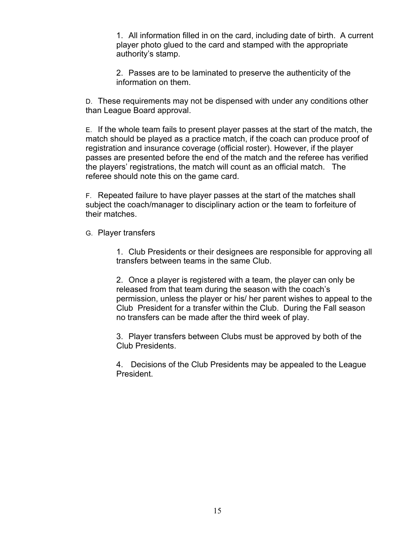1. All information filled in on the card, including date of birth. A current player photo glued to the card and stamped with the appropriate authority's stamp.

2. Passes are to be laminated to preserve the authenticity of the information on them.

D. These requirements may not be dispensed with under any conditions other than League Board approval.

E. If the whole team fails to present player passes at the start of the match, the match should be played as a practice match, if the coach can produce proof of registration and insurance coverage (official roster). However, if the player passes are presented before the end of the match and the referee has verified the players' registrations, the match will count as an official match. The referee should note this on the game card.

F. Repeated failure to have player passes at the start of the matches shall subject the coach/manager to disciplinary action or the team to forfeiture of their matches.

G. Player transfers

1. Club Presidents or their designees are responsible for approving all transfers between teams in the same Club.

2. Once a player is registered with a team, the player can only be released from that team during the season with the coach's permission, unless the player or his/ her parent wishes to appeal to the Club President for a transfer within the Club. During the Fall season no transfers can be made after the third week of play.

3. Player transfers between Clubs must be approved by both of the Club Presidents.

4. Decisions of the Club Presidents may be appealed to the League President.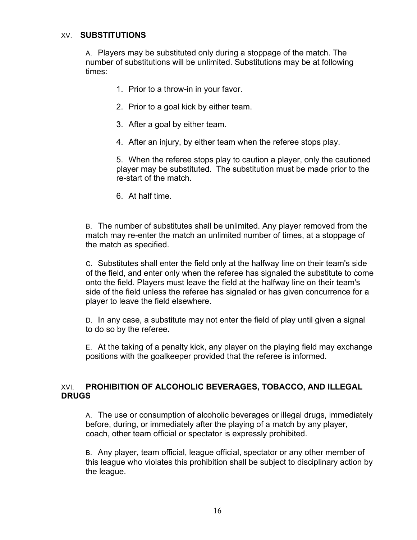#### XV. **SUBSTITUTIONS**

A. Players may be substituted only during a stoppage of the match. The number of substitutions will be unlimited. Substitutions may be at following times:

- 1. Prior to a throw-in in your favor.
- 2. Prior to a goal kick by either team.
- 3. After a goal by either team.
- 4. After an injury, by either team when the referee stops play.

5. When the referee stops play to caution a player, only the cautioned player may be substituted. The substitution must be made prior to the re-start of the match.

6. At half time.

B. The number of substitutes shall be unlimited. Any player removed from the match may re-enter the match an unlimited number of times, at a stoppage of the match as specified.

C. Substitutes shall enter the field only at the halfway line on their team's side of the field, and enter only when the referee has signaled the substitute to come onto the field. Players must leave the field at the halfway line on their team's side of the field unless the referee has signaled or has given concurrence for a player to leave the field elsewhere.

D. In any case, a substitute may not enter the field of play until given a signal to do so by the referee**.**

E. At the taking of a penalty kick, any player on the playing field may exchange positions with the goalkeeper provided that the referee is informed.

#### XVI. **PROHIBITION OF ALCOHOLIC BEVERAGES, TOBACCO, AND ILLEGAL DRUGS**

A. The use or consumption of alcoholic beverages or illegal drugs, immediately before, during, or immediately after the playing of a match by any player, coach, other team official or spectator is expressly prohibited.

B. Any player, team official, league official, spectator or any other member of this league who violates this prohibition shall be subject to disciplinary action by the league.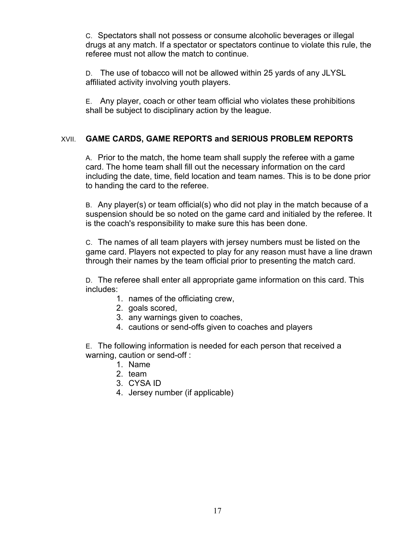C. Spectators shall not possess or consume alcoholic beverages or illegal drugs at any match. If a spectator or spectators continue to violate this rule, the referee must not allow the match to continue.

D. The use of tobacco will not be allowed within 25 yards of any JLYSL affiliated activity involving youth players.

E. Any player, coach or other team official who violates these prohibitions shall be subject to disciplinary action by the league.

## XVII. **GAME CARDS, GAME REPORTS and SERIOUS PROBLEM REPORTS**

A. Prior to the match, the home team shall supply the referee with a game card. The home team shall fill out the necessary information on the card including the date, time, field location and team names. This is to be done prior to handing the card to the referee.

B. Any player(s) or team official(s) who did not play in the match because of a suspension should be so noted on the game card and initialed by the referee. It is the coach's responsibility to make sure this has been done.

C. The names of all team players with jersey numbers must be listed on the game card. Players not expected to play for any reason must have a line drawn through their names by the team official prior to presenting the match card.

D. The referee shall enter all appropriate game information on this card. This includes:

- 1. names of the officiating crew,
- 2. goals scored,
- 3. any warnings given to coaches,
- 4. cautions or send-offs given to coaches and players

E. The following information is needed for each person that received a warning, caution or send-off :

- 1. Name
- 2. team
- 3. CYSA ID
- 4. Jersey number (if applicable)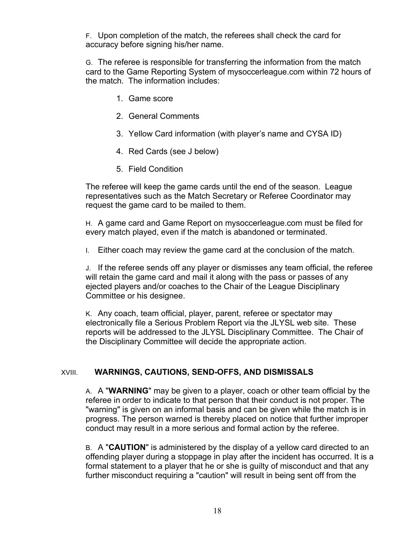F. Upon completion of the match, the referees shall check the card for accuracy before signing his/her name.

G. The referee is responsible for transferring the information from the match card to the Game Reporting System of mysoccerleague.com within 72 hours of the match. The information includes:

- 1. Game score
- 2. General Comments
- 3. Yellow Card information (with player's name and CYSA ID)
- 4. Red Cards (see J below)
- 5. Field Condition

The referee will keep the game cards until the end of the season. League representatives such as the Match Secretary or Referee Coordinator may request the game card to be mailed to them.

H. A game card and Game Report on mysoccerleague.com must be filed for every match played, even if the match is abandoned or terminated.

I. Either coach may review the game card at the conclusion of the match.

J. If the referee sends off any player or dismisses any team official, the referee will retain the game card and mail it along with the pass or passes of any ejected players and/or coaches to the Chair of the League Disciplinary Committee or his designee.

K. Any coach, team official, player, parent, referee or spectator may electronically file a Serious Problem Report via the JLYSL web site. These reports will be addressed to the JLYSL Disciplinary Committee. The Chair of the Disciplinary Committee will decide the appropriate action.

## XVIII. **WARNINGS, CAUTIONS, SEND-OFFS, AND DISMISSALS**

A. A "**WARNING**" may be given to a player, coach or other team official by the referee in order to indicate to that person that their conduct is not proper. The "warning" is given on an informal basis and can be given while the match is in progress. The person warned is thereby placed on notice that further improper conduct may result in a more serious and formal action by the referee.

B. A "**CAUTION**" is administered by the display of a yellow card directed to an offending player during a stoppage in play after the incident has occurred. It is a formal statement to a player that he or she is guilty of misconduct and that any further misconduct requiring a "caution" will result in being sent off from the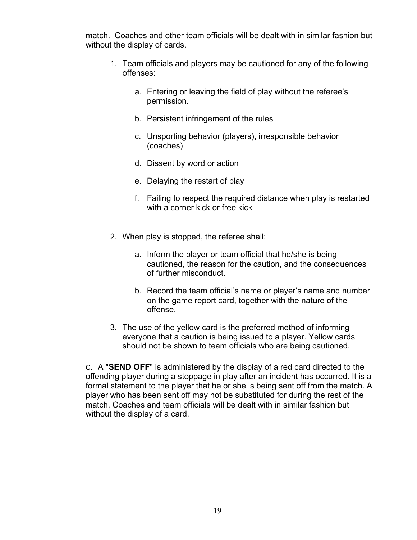match. Coaches and other team officials will be dealt with in similar fashion but without the display of cards.

- 1. Team officials and players may be cautioned for any of the following offenses:
	- a. Entering or leaving the field of play without the referee's permission.
	- b. Persistent infringement of the rules
	- c. Unsporting behavior (players), irresponsible behavior (coaches)
	- d. Dissent by word or action
	- e. Delaying the restart of play
	- f. Failing to respect the required distance when play is restarted with a corner kick or free kick
- 2. When play is stopped, the referee shall:
	- a. Inform the player or team official that he/she is being cautioned, the reason for the caution, and the consequences of further misconduct.
	- b. Record the team official's name or player's name and number on the game report card, together with the nature of the offense.
- 3. The use of the yellow card is the preferred method of informing everyone that a caution is being issued to a player. Yellow cards should not be shown to team officials who are being cautioned.

C. A "**SEND OFF**" is administered by the display of a red card directed to the offending player during a stoppage in play after an incident has occurred. It is a formal statement to the player that he or she is being sent off from the match. A player who has been sent off may not be substituted for during the rest of the match. Coaches and team officials will be dealt with in similar fashion but without the display of a card.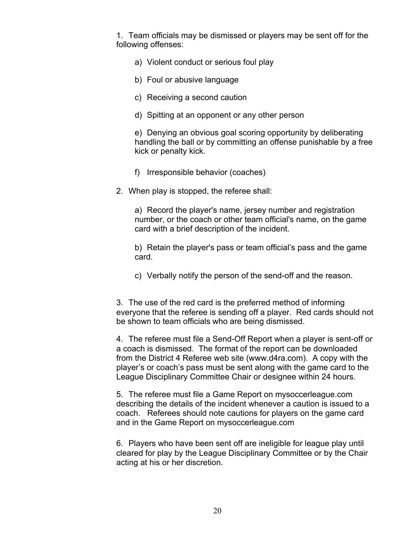1. Team officials may be dismissed or players may be sent off for the following offenses:

- a) Violent conduct or serious foul play
- b) Foul or abusive language
- c) Receiving a second caution
- d) Spitting at an opponent or any other person

e) Denying an obvious goal scoring opportunity by deliberating handling the ball or by committing an offense punishable by a free kick or penalty kick.

- f) Irresponsible behavior (coaches)
- 2. When play is stopped, the referee shall:

a) Record the player's name, jersey number and registration number, or the coach or other team official's name, on the game card with a brief description of the incident.

b) Retain the player's pass or team official's pass and the game card.

c) Verbally notify the person of the send-off and the reason.

3. The use of the red card is the preferred method of informing everyone that the referee is sending off a player. Red cards should not be shown to team officials who are being dismissed.

4. The referee must file a Send-Off Report when a player is sent-off or a coach is dismissed. The format of the report can be downloaded from the District 4 Referee web site (www.d4ra.com). A copy with the player's or coach's pass must be sent along with the game card to the League Disciplinary Committee Chair or designee within 24 hours.

5. The referee must file a Game Report on mysoccerleague.com describing the details of the incident whenever a caution is issued to a coach. Referees should note cautions for players on the game card and in the Game Report on mysoccerleague.com

6. Players who have been sent off are ineligible for league play until cleared for play by the League Disciplinary Committee or by the Chair acting at his or her discretion.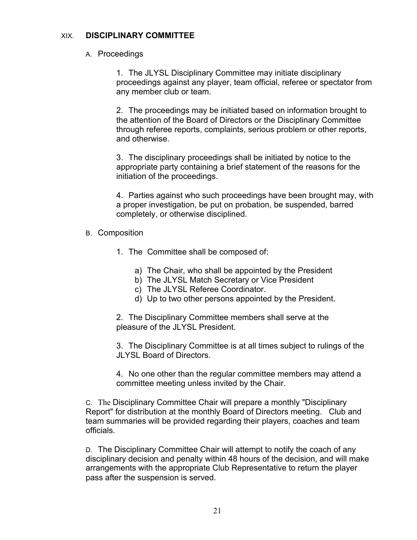#### XIX. **DISCIPLINARY COMMITTEE**

#### A. Proceedings

1. The JLYSL Disciplinary Committee may initiate disciplinary proceedings against any player, team official, referee or spectator from any member club or team.

2. The proceedings may be initiated based on information brought to the attention of the Board of Directors or the Disciplinary Committee through referee reports, complaints, serious problem or other reports, and otherwise.

3. The disciplinary proceedings shall be initiated by notice to the appropriate party containing a brief statement of the reasons for the initiation of the proceedings.

4. Parties against who such proceedings have been brought may, with a proper investigation, be put on probation, be suspended, barred completely, or otherwise disciplined.

- B. Composition
	- 1. The Committee shall be composed of:
		- a) The Chair, who shall be appointed by the President
		- b) The JLYSL Match Secretary or Vice President
		- c) The JLYSL Referee Coordinator.
		- d) Up to two other persons appointed by the President.

2. The Disciplinary Committee members shall serve at the pleasure of the JLYSL President.

3. The Disciplinary Committee is at all times subject to rulings of the JLYSL Board of Directors.

4. No one other than the regular committee members may attend a committee meeting unless invited by the Chair.

C. The Disciplinary Committee Chair will prepare a monthly "Disciplinary Report" for distribution at the monthly Board of Directors meeting. Club and team summaries will be provided regarding their players, coaches and team officials.

D. The Disciplinary Committee Chair will attempt to notify the coach of any disciplinary decision and penalty within 48 hours of the decision, and will make arrangements with the appropriate Club Representative to return the player pass after the suspension is served.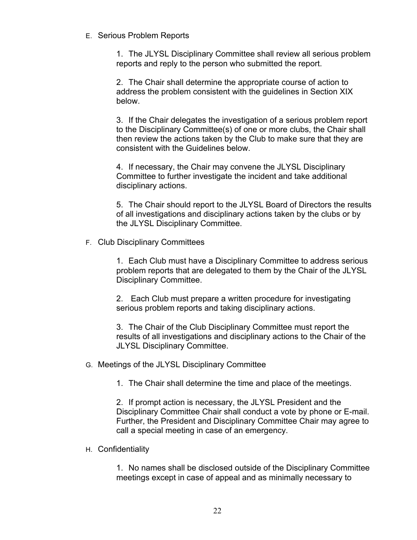E. Serious Problem Reports

1. The JLYSL Disciplinary Committee shall review all serious problem reports and reply to the person who submitted the report.

2. The Chair shall determine the appropriate course of action to address the problem consistent with the guidelines in Section XIX below.

3. If the Chair delegates the investigation of a serious problem report to the Disciplinary Committee(s) of one or more clubs, the Chair shall then review the actions taken by the Club to make sure that they are consistent with the Guidelines below.

4. If necessary, the Chair may convene the JLYSL Disciplinary Committee to further investigate the incident and take additional disciplinary actions.

5. The Chair should report to the JLYSL Board of Directors the results of all investigations and disciplinary actions taken by the clubs or by the JLYSL Disciplinary Committee.

F. Club Disciplinary Committees

1. Each Club must have a Disciplinary Committee to address serious problem reports that are delegated to them by the Chair of the JLYSL Disciplinary Committee.

2. Each Club must prepare a written procedure for investigating serious problem reports and taking disciplinary actions.

3. The Chair of the Club Disciplinary Committee must report the results of all investigations and disciplinary actions to the Chair of the JLYSL Disciplinary Committee.

G. Meetings of the JLYSL Disciplinary Committee

1. The Chair shall determine the time and place of the meetings.

2. If prompt action is necessary, the JLYSL President and the Disciplinary Committee Chair shall conduct a vote by phone or E-mail. Further, the President and Disciplinary Committee Chair may agree to call a special meeting in case of an emergency.

#### H. Confidentiality

1. No names shall be disclosed outside of the Disciplinary Committee meetings except in case of appeal and as minimally necessary to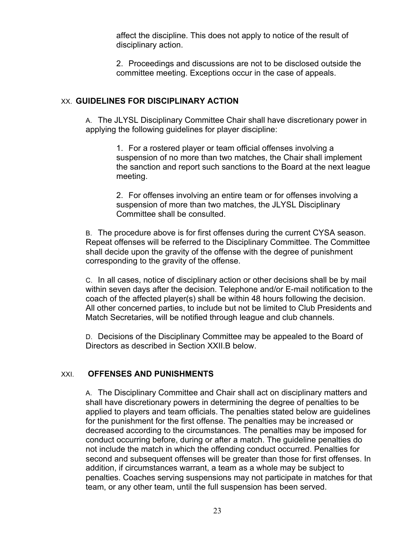affect the discipline. This does not apply to notice of the result of disciplinary action.

2. Proceedings and discussions are not to be disclosed outside the committee meeting. Exceptions occur in the case of appeals.

## XX. **GUIDELINES FOR DISCIPLINARY ACTION**

A. The JLYSL Disciplinary Committee Chair shall have discretionary power in applying the following guidelines for player discipline:

> 1. For a rostered player or team official offenses involving a suspension of no more than two matches, the Chair shall implement the sanction and report such sanctions to the Board at the next league meeting.

2. For offenses involving an entire team or for offenses involving a suspension of more than two matches, the JLYSL Disciplinary Committee shall be consulted.

B. The procedure above is for first offenses during the current CYSA season. Repeat offenses will be referred to the Disciplinary Committee. The Committee shall decide upon the gravity of the offense with the degree of punishment corresponding to the gravity of the offense.

C. In all cases, notice of disciplinary action or other decisions shall be by mail within seven days after the decision. Telephone and/or E-mail notification to the coach of the affected player(s) shall be within 48 hours following the decision. All other concerned parties, to include but not be limited to Club Presidents and Match Secretaries, will be notified through league and club channels.

D. Decisions of the Disciplinary Committee may be appealed to the Board of Directors as described in Section XXII.B below.

#### XXI. **OFFENSES AND PUNISHMENTS**

A. The Disciplinary Committee and Chair shall act on disciplinary matters and shall have discretionary powers in determining the degree of penalties to be applied to players and team officials. The penalties stated below are guidelines for the punishment for the first offense. The penalties may be increased or decreased according to the circumstances. The penalties may be imposed for conduct occurring before, during or after a match. The guideline penalties do not include the match in which the offending conduct occurred. Penalties for second and subsequent offenses will be greater than those for first offenses. In addition, if circumstances warrant, a team as a whole may be subject to penalties. Coaches serving suspensions may not participate in matches for that team, or any other team, until the full suspension has been served.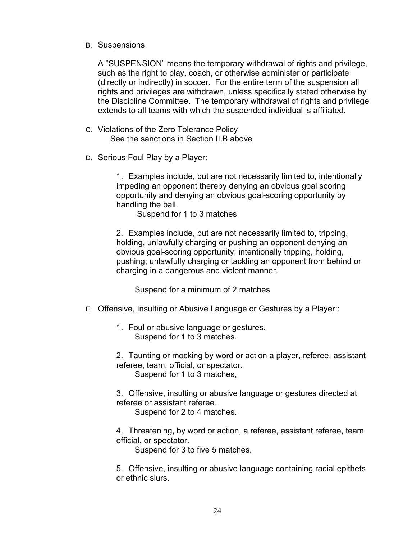B. Suspensions

A "SUSPENSION" means the temporary withdrawal of rights and privilege, such as the right to play, coach, or otherwise administer or participate (directly or indirectly) in soccer. For the entire term of the suspension all rights and privileges are withdrawn, unless specifically stated otherwise by the Discipline Committee. The temporary withdrawal of rights and privilege extends to all teams with which the suspended individual is affiliated.

- C. Violations of the Zero Tolerance Policy See the sanctions in Section II.B above
- D. Serious Foul Play by a Player:

1. Examples include, but are not necessarily limited to, intentionally impeding an opponent thereby denying an obvious goal scoring opportunity and denying an obvious goal-scoring opportunity by handling the ball.

Suspend for 1 to 3 matches

2. Examples include, but are not necessarily limited to, tripping, holding, unlawfully charging or pushing an opponent denying an obvious goal-scoring opportunity; intentionally tripping, holding, pushing; unlawfully charging or tackling an opponent from behind or charging in a dangerous and violent manner.

Suspend for a minimum of 2 matches

- E. Offensive, Insulting or Abusive Language or Gestures by a Player::
	- 1. Foul or abusive language or gestures. Suspend for 1 to 3 matches.

2. Taunting or mocking by word or action a player, referee, assistant referee, team, official, or spectator. Suspend for 1 to 3 matches,

3. Offensive, insulting or abusive language or gestures directed at referee or assistant referee.

Suspend for 2 to 4 matches.

4. Threatening, by word or action, a referee, assistant referee, team official, or spectator.

Suspend for 3 to five 5 matches.

5. Offensive, insulting or abusive language containing racial epithets or ethnic slurs.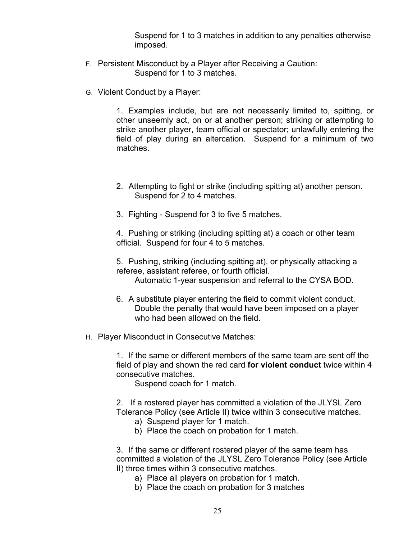Suspend for 1 to 3 matches in addition to any penalties otherwise imposed.

- F. Persistent Misconduct by a Player after Receiving a Caution: Suspend for 1 to 3 matches.
- G. Violent Conduct by a Player:

1. Examples include, but are not necessarily limited to, spitting, or other unseemly act, on or at another person; striking or attempting to strike another player, team official or spectator; unlawfully entering the field of play during an altercation. Suspend for a minimum of two matches.

- 2. Attempting to fight or strike (including spitting at) another person. Suspend for 2 to 4 matches.
- 3. Fighting Suspend for 3 to five 5 matches.

4. Pushing or striking (including spitting at) a coach or other team official. Suspend for four 4 to 5 matches.

5. Pushing, striking (including spitting at), or physically attacking a referee, assistant referee, or fourth official.

Automatic 1-year suspension and referral to the CYSA BOD.

- 6. A substitute player entering the field to commit violent conduct. Double the penalty that would have been imposed on a player who had been allowed on the field.
- H. Player Misconduct in Consecutive Matches:

1. If the same or different members of the same team are sent off the field of play and shown the red card **for violent conduct** twice within 4 consecutive matches.

Suspend coach for 1 match.

2. If a rostered player has committed a violation of the JLYSL Zero Tolerance Policy (see Article II) twice within 3 consecutive matches.

- a) Suspend player for 1 match.
- b) Place the coach on probation for 1 match.

3. If the same or different rostered player of the same team has committed a violation of the JLYSL Zero Tolerance Policy (see Article II) three times within 3 consecutive matches.

- a) Place all players on probation for 1 match.
- b) Place the coach on probation for 3 matches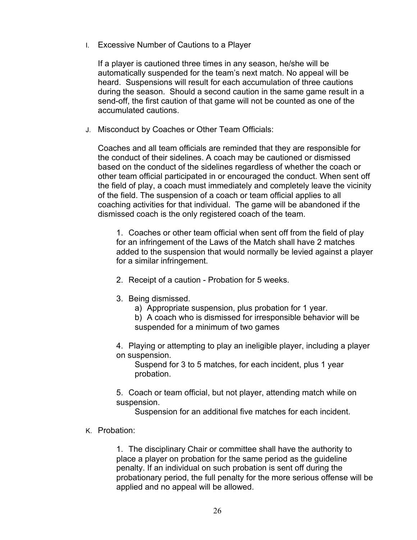I. Excessive Number of Cautions to a Player

If a player is cautioned three times in any season, he/she will be automatically suspended for the team's next match. No appeal will be heard. Suspensions will result for each accumulation of three cautions during the season. Should a second caution in the same game result in a send-off, the first caution of that game will not be counted as one of the accumulated cautions.

J. Misconduct by Coaches or Other Team Officials:

Coaches and all team officials are reminded that they are responsible for the conduct of their sidelines. A coach may be cautioned or dismissed based on the conduct of the sidelines regardless of whether the coach or other team official participated in or encouraged the conduct. When sent off the field of play, a coach must immediately and completely leave the vicinity of the field. The suspension of a coach or team official applies to all coaching activities for that individual. The game will be abandoned if the dismissed coach is the only registered coach of the team.

1. Coaches or other team official when sent off from the field of play for an infringement of the Laws of the Match shall have 2 matches added to the suspension that would normally be levied against a player for a similar infringement.

- 2. Receipt of a caution Probation for 5 weeks.
- 3. Being dismissed.
	- a) Appropriate suspension, plus probation for 1 year.
	- b) A coach who is dismissed for irresponsible behavior will be suspended for a minimum of two games

4. Playing or attempting to play an ineligible player, including a player on suspension.

Suspend for 3 to 5 matches, for each incident, plus 1 year probation.

5. Coach or team official, but not player, attending match while on suspension.

Suspension for an additional five matches for each incident.

K. Probation:

1. The disciplinary Chair or committee shall have the authority to place a player on probation for the same period as the guideline penalty. If an individual on such probation is sent off during the probationary period, the full penalty for the more serious offense will be applied and no appeal will be allowed.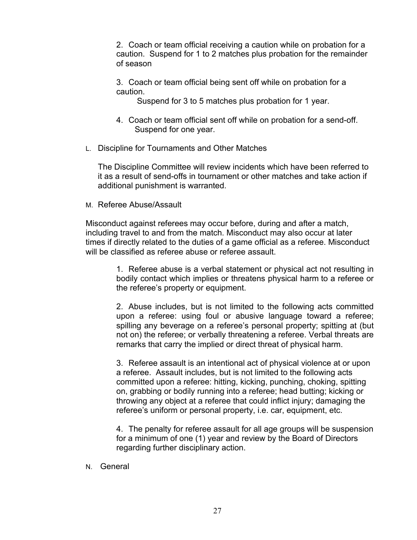2. Coach or team official receiving a caution while on probation for a caution. Suspend for 1 to 2 matches plus probation for the remainder of season

3. Coach or team official being sent off while on probation for a caution.

Suspend for 3 to 5 matches plus probation for 1 year.

- 4. Coach or team official sent off while on probation for a send-off. Suspend for one year.
- L. Discipline for Tournaments and Other Matches

The Discipline Committee will review incidents which have been referred to it as a result of send-offs in tournament or other matches and take action if additional punishment is warranted.

M. Referee Abuse/Assault

Misconduct against referees may occur before, during and after a match, including travel to and from the match. Misconduct may also occur at later times if directly related to the duties of a game official as a referee. Misconduct will be classified as referee abuse or referee assault.

> 1. Referee abuse is a verbal statement or physical act not resulting in bodily contact which implies or threatens physical harm to a referee or the referee's property or equipment.

> 2. Abuse includes, but is not limited to the following acts committed upon a referee: using foul or abusive language toward a referee; spilling any beverage on a referee's personal property; spitting at (but not on) the referee; or verbally threatening a referee. Verbal threats are remarks that carry the implied or direct threat of physical harm.

3. Referee assault is an intentional act of physical violence at or upon a referee. Assault includes, but is not limited to the following acts committed upon a referee: hitting, kicking, punching, choking, spitting on, grabbing or bodily running into a referee; head butting; kicking or throwing any object at a referee that could inflict injury; damaging the referee's uniform or personal property, i.e. car, equipment, etc.

4. The penalty for referee assault for all age groups will be suspension for a minimum of one (1) year and review by the Board of Directors regarding further disciplinary action.

N. General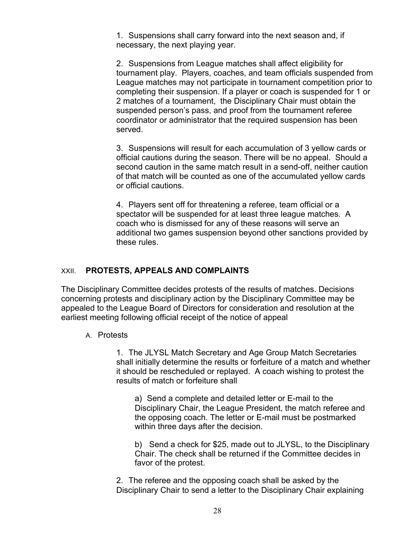1. Suspensions shall carry forward into the next season and, if necessary, the next playing year.

2. Suspensions from League matches shall affect eligibility for tournament play. Players, coaches, and team officials suspended from League matches may not participate in tournament competition prior to completing their suspension. If a player or coach is suspended for 1 or 2 matches of a tournament, the Disciplinary Chair must obtain the suspended person's pass, and proof from the tournament referee coordinator or administrator that the required suspension has been served.

3. Suspensions will result for each accumulation of 3 yellow cards or official cautions during the season. There will be no appeal. Should a second caution in the same match result in a send-off, neither caution of that match will be counted as one of the accumulated yellow cards or official cautions.

4. Players sent off for threatening a referee, team official or a spectator will be suspended for at least three league matches. A coach who is dismissed for any of these reasons will serve an additional two games suspension beyond other sanctions provided by these rules.

#### XXII. **PROTESTS, APPEALS AND COMPLAINTS**

The Disciplinary Committee decides protests of the results of matches. Decisions concerning protests and disciplinary action by the Disciplinary Committee may be appealed to the League Board of Directors for consideration and resolution at the earliest meeting following official receipt of the notice of appeal

#### A. Protests

1. The JLYSL Match Secretary and Age Group Match Secretaries shall initially determine the results or forfeiture of a match and whether it should be rescheduled or replayed. A coach wishing to protest the results of match or forfeiture shall

a) Send a complete and detailed letter or E-mail to the Disciplinary Chair, the League President, the match referee and the opposing coach. The letter or E-mail must be postmarked within three days after the decision.

b) Send a check for \$25, made out to JLYSL, to the Disciplinary Chair. The check shall be returned if the Committee decides in favor of the protest.

2. The referee and the opposing coach shall be asked by the Disciplinary Chair to send a letter to the Disciplinary Chair explaining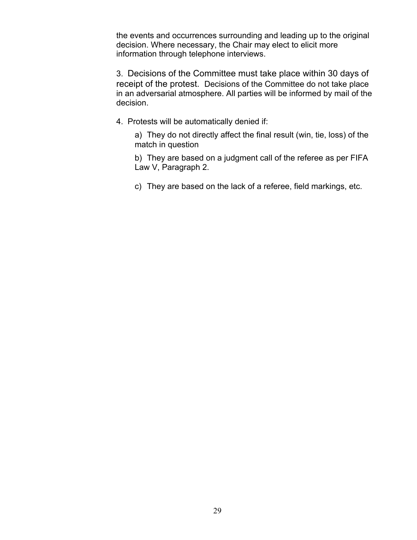the events and occurrences surrounding and leading up to the original decision. Where necessary, the Chair may elect to elicit more information through telephone interviews.

3. Decisions of the Committee must take place within 30 days of receipt of the protest.Decisions of the Committee do not take place in an adversarial atmosphere. All parties will be informed by mail of the decision.

4. Protests will be automatically denied if:

a) They do not directly affect the final result (win, tie, loss) of the match in question

b) They are based on a judgment call of the referee as per FIFA Law V, Paragraph 2.

c) They are based on the lack of a referee, field markings, etc.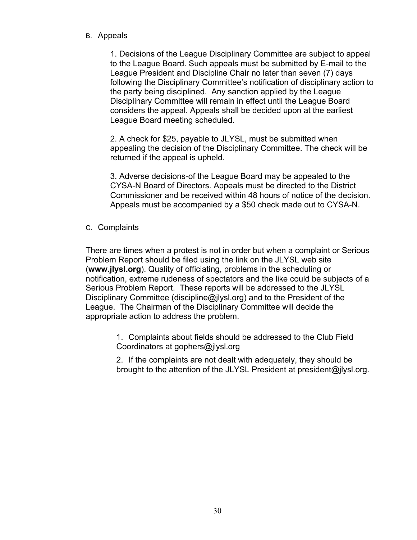B. Appeals

1. Decisions of the League Disciplinary Committee are subject to appeal to the League Board. Such appeals must be submitted by E-mail to the League President and Discipline Chair no later than seven (7) days following the Disciplinary Committee's notification of disciplinary action to the party being disciplined. Any sanction applied by the League Disciplinary Committee will remain in effect until the League Board considers the appeal. Appeals shall be decided upon at the earliest League Board meeting scheduled.

2. A check for \$25, payable to JLYSL, must be submitted when appealing the decision of the Disciplinary Committee. The check will be returned if the appeal is upheld.

3. Adverse decisions-of the League Board may be appealed to the CYSA-N Board of Directors. Appeals must be directed to the District Commissioner and be received within 48 hours of notice of the decision. Appeals must be accompanied by a \$50 check made out to CYSA-N.

C. Complaints

There are times when a protest is not in order but when a complaint or Serious Problem Report should be filed using the link on the JLYSL web site (**www.jlysl.org**). Quality of officiating, problems in the scheduling or notification, extreme rudeness of spectators and the like could be subjects of a Serious Problem Report. These reports will be addressed to the JLYSL Disciplinary Committee (discipline@jlysl.org) and to the President of the League. The Chairman of the Disciplinary Committee will decide the appropriate action to address the problem.

> 1. Complaints about fields should be addressed to the Club Field Coordinators at gophers@jlysl.org

2. If the complaints are not dealt with adequately, they should be brought to the attention of the JLYSL President at president@jlysl.org.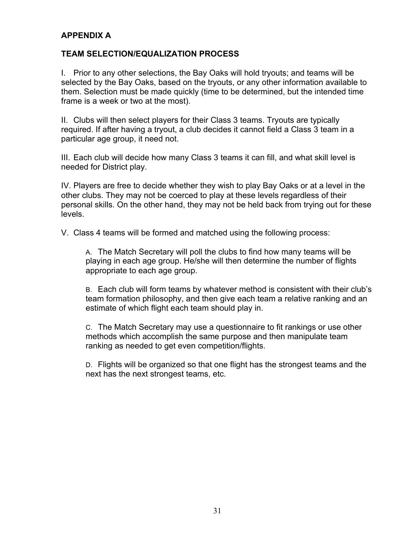## **APPENDIX A**

#### **TEAM SELECTION/EQUALIZATION PROCESS**

I. Prior to any other selections, the Bay Oaks will hold tryouts; and teams will be selected by the Bay Oaks, based on the tryouts, or any other information available to them. Selection must be made quickly (time to be determined, but the intended time frame is a week or two at the most).

II. Clubs will then select players for their Class 3 teams. Tryouts are typically required. If after having a tryout, a club decides it cannot field a Class 3 team in a particular age group, it need not.

III. Each club will decide how many Class 3 teams it can fill, and what skill level is needed for District play.

IV. Players are free to decide whether they wish to play Bay Oaks or at a level in the other clubs. They may not be coerced to play at these levels regardless of their personal skills. On the other hand, they may not be held back from trying out for these levels.

V. Class 4 teams will be formed and matched using the following process:

A. The Match Secretary will poll the clubs to find how many teams will be playing in each age group. He/she will then determine the number of flights appropriate to each age group.

B. Each club will form teams by whatever method is consistent with their club's team formation philosophy, and then give each team a relative ranking and an estimate of which flight each team should play in.

C. The Match Secretary may use a questionnaire to fit rankings or use other methods which accomplish the same purpose and then manipulate team ranking as needed to get even competition/flights.

D. Flights will be organized so that one flight has the strongest teams and the next has the next strongest teams, etc.